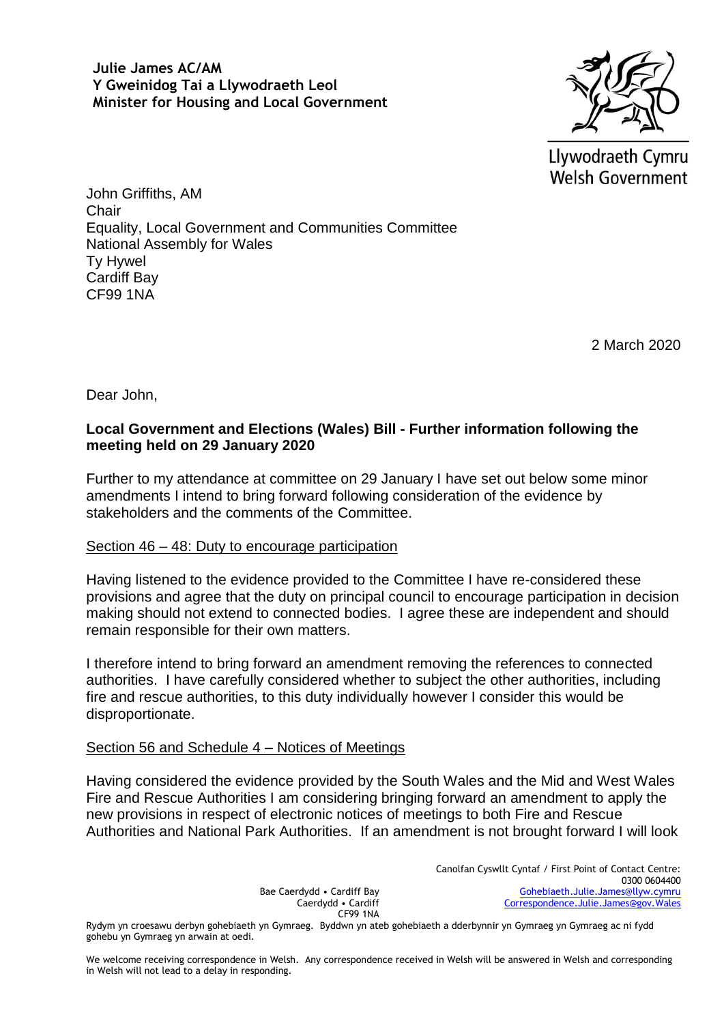**Julie James AC/AM Y Gweinidog Tai a Llywodraeth Leol Minister for Housing and Local Government**



Llywodraeth Cymru Welsh Government

John Griffiths, AM **Chair** Equality, Local Government and Communities Committee National Assembly for Wales Ty Hywel Cardiff Bay CF99 1NA

2 March 2020

Dear John,

# **Local Government and Elections (Wales) Bill - Further information following the meeting held on 29 January 2020**

Further to my attendance at committee on 29 January I have set out below some minor amendments I intend to bring forward following consideration of the evidence by stakeholders and the comments of the Committee.

## Section 46 – 48: Duty to encourage participation

Having listened to the evidence provided to the Committee I have re-considered these provisions and agree that the duty on principal council to encourage participation in decision making should not extend to connected bodies. I agree these are independent and should remain responsible for their own matters.

I therefore intend to bring forward an amendment removing the references to connected authorities. I have carefully considered whether to subject the other authorities, including fire and rescue authorities, to this duty individually however I consider this would be disproportionate.

## Section 56 and Schedule 4 – Notices of Meetings

Having considered the evidence provided by the South Wales and the Mid and West Wales Fire and Rescue Authorities I am considering bringing forward an amendment to apply the new provisions in respect of electronic notices of meetings to both Fire and Rescue Authorities and National Park Authorities. If an amendment is not brought forward I will look

CF99 1NA Rydym yn croesawu derbyn gohebiaeth yn Gymraeg. Byddwn yn ateb gohebiaeth a dderbynnir yn Gymraeg yn Gymraeg ac ni fydd gohebu yn Gymraeg yn arwain at oedi.

Bae Caerdydd • Cardiff Bay Caerdydd • Cardiff

We welcome receiving correspondence in Welsh. Any correspondence received in Welsh will be answered in Welsh and corresponding in Welsh will not lead to a delay in responding.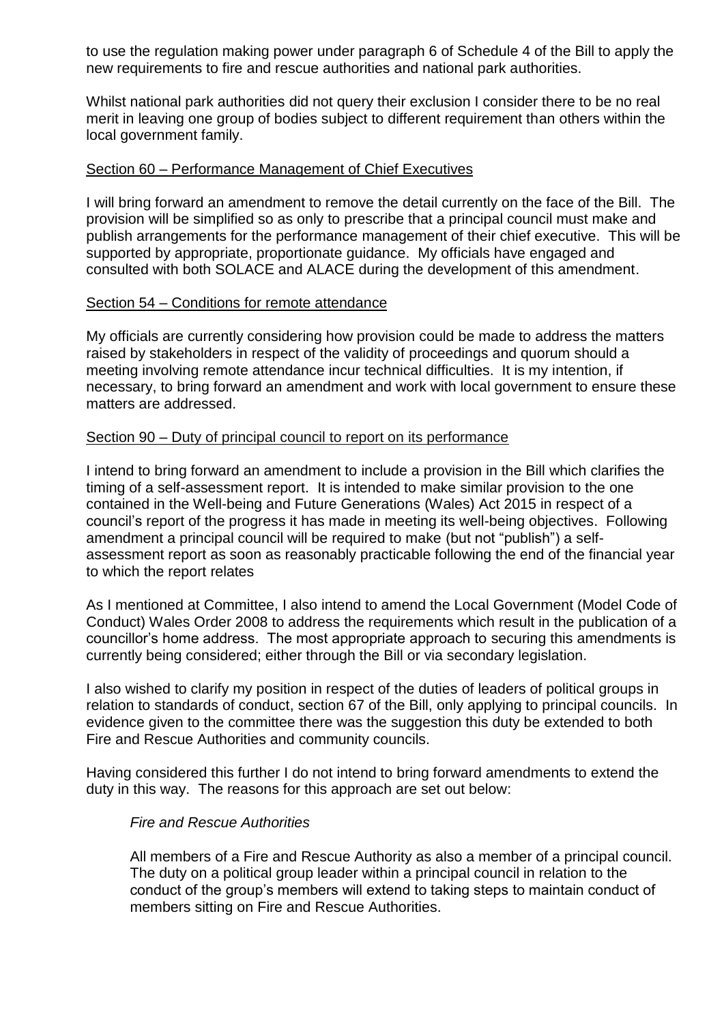to use the regulation making power under paragraph 6 of Schedule 4 of the Bill to apply the new requirements to fire and rescue authorities and national park authorities.

Whilst national park authorities did not query their exclusion I consider there to be no real merit in leaving one group of bodies subject to different requirement than others within the local government family.

## Section 60 – Performance Management of Chief Executives

I will bring forward an amendment to remove the detail currently on the face of the Bill. The provision will be simplified so as only to prescribe that a principal council must make and publish arrangements for the performance management of their chief executive. This will be supported by appropriate, proportionate guidance. My officials have engaged and consulted with both SOLACE and ALACE during the development of this amendment.

## Section 54 – Conditions for remote attendance

My officials are currently considering how provision could be made to address the matters raised by stakeholders in respect of the validity of proceedings and quorum should a meeting involving remote attendance incur technical difficulties. It is my intention, if necessary, to bring forward an amendment and work with local government to ensure these matters are addressed.

#### Section 90 – Duty of principal council to report on its performance

I intend to bring forward an amendment to include a provision in the Bill which clarifies the timing of a self-assessment report. It is intended to make similar provision to the one contained in the Well-being and Future Generations (Wales) Act 2015 in respect of a council's report of the progress it has made in meeting its well-being objectives. Following amendment a principal council will be required to make (but not "publish") a selfassessment report as soon as reasonably practicable following the end of the financial year to which the report relates

As I mentioned at Committee, I also intend to amend the Local Government (Model Code of Conduct) Wales Order 2008 to address the requirements which result in the publication of a councillor's home address. The most appropriate approach to securing this amendments is currently being considered; either through the Bill or via secondary legislation.

I also wished to clarify my position in respect of the duties of leaders of political groups in relation to standards of conduct, section 67 of the Bill, only applying to principal councils. In evidence given to the committee there was the suggestion this duty be extended to both Fire and Rescue Authorities and community councils.

Having considered this further I do not intend to bring forward amendments to extend the duty in this way. The reasons for this approach are set out below:

#### *Fire and Rescue Authorities*

All members of a Fire and Rescue Authority as also a member of a principal council. The duty on a political group leader within a principal council in relation to the conduct of the group's members will extend to taking steps to maintain conduct of members sitting on Fire and Rescue Authorities.